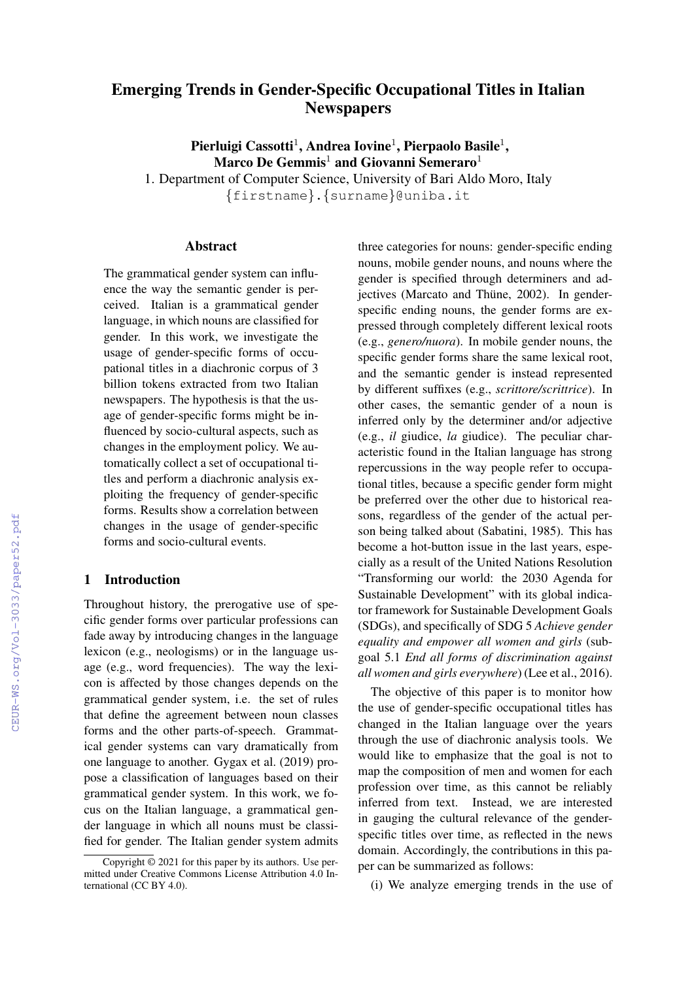# Emerging Trends in Gender-Specific Occupational Titles in Italian **Newspapers**

Pierluigi Cassotti<sup>1</sup>, Andrea Iovine<sup>1</sup>, Pierpaolo Basile<sup>1</sup>, Marco De Gemmis<sup>1</sup> and Giovanni Semeraro<sup>1</sup>

1. Department of Computer Science, University of Bari Aldo Moro, Italy {firstname}.{surname}@uniba.it

#### Abstract

The grammatical gender system can influence the way the semantic gender is perceived. Italian is a grammatical gender language, in which nouns are classified for gender. In this work, we investigate the usage of gender-specific forms of occupational titles in a diachronic corpus of 3 billion tokens extracted from two Italian newspapers. The hypothesis is that the usage of gender-specific forms might be influenced by socio-cultural aspects, such as changes in the employment policy. We automatically collect a set of occupational titles and perform a diachronic analysis exploiting the frequency of gender-specific forms. Results show a correlation between changes in the usage of gender-specific forms and socio-cultural events.

## 1 Introduction

Throughout history, the prerogative use of specific gender forms over particular professions can fade away by introducing changes in the language lexicon (e.g., neologisms) or in the language usage (e.g., word frequencies). The way the lexicon is affected by those changes depends on the grammatical gender system, i.e. the set of rules that define the agreement between noun classes forms and the other parts-of-speech. Grammatical gender systems can vary dramatically from one language to another. Gygax et al. (2019) propose a classification of languages based on their grammatical gender system. In this work, we focus on the Italian language, a grammatical gender language in which all nouns must be classified for gender. The Italian gender system admits three categories for nouns: gender-specific ending nouns, mobile gender nouns, and nouns where the gender is specified through determiners and adjectives (Marcato and Thüne, 2002). In genderspecific ending nouns, the gender forms are expressed through completely different lexical roots (e.g., *genero/nuora*). In mobile gender nouns, the specific gender forms share the same lexical root, and the semantic gender is instead represented by different suffixes (e.g., *scrittore/scrittrice*). In other cases, the semantic gender of a noun is inferred only by the determiner and/or adjective (e.g., *il* giudice, *la* giudice). The peculiar characteristic found in the Italian language has strong repercussions in the way people refer to occupational titles, because a specific gender form might be preferred over the other due to historical reasons, regardless of the gender of the actual person being talked about (Sabatini, 1985). This has become a hot-button issue in the last years, especially as a result of the United Nations Resolution "Transforming our world: the 2030 Agenda for Sustainable Development" with its global indicator framework for Sustainable Development Goals (SDGs), and specifically of SDG 5 *Achieve gender equality and empower all women and girls* (subgoal 5.1 *End all forms of discrimination against all women and girls everywhere*) (Lee et al., 2016).

The objective of this paper is to monitor how the use of gender-specific occupational titles has changed in the Italian language over the years through the use of diachronic analysis tools. We would like to emphasize that the goal is not to map the composition of men and women for each profession over time, as this cannot be reliably inferred from text. Instead, we are interested in gauging the cultural relevance of the genderspecific titles over time, as reflected in the news domain. Accordingly, the contributions in this paper can be summarized as follows:

(i) We analyze emerging trends in the use of

Copyright © 2021 for this paper by its authors. Use permitted under Creative Commons License Attribution 4.0 International (CC BY 4.0).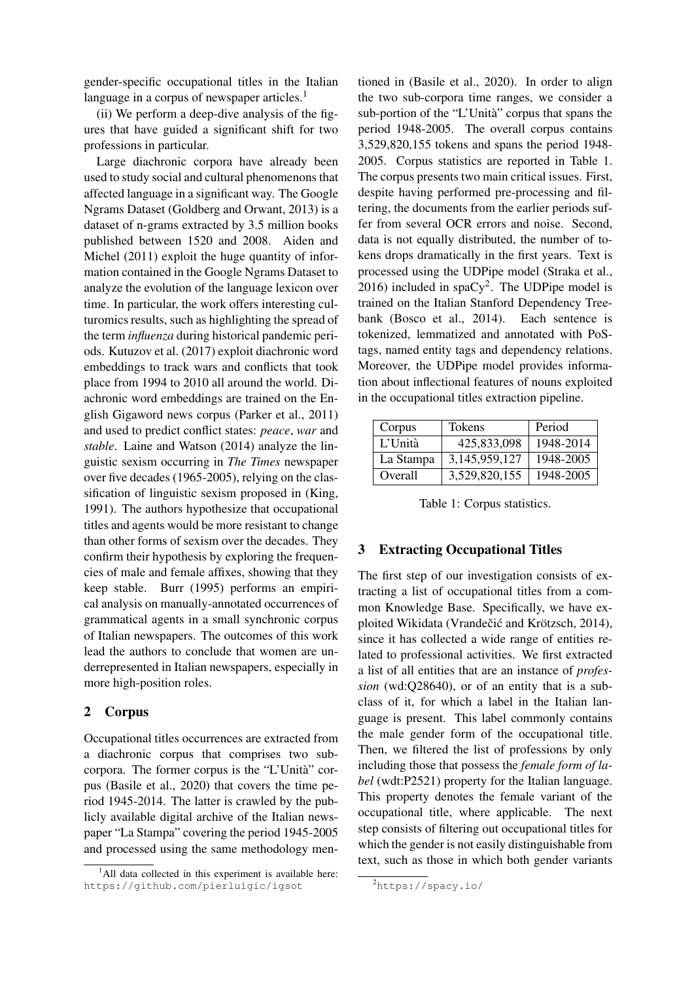gender-specific occupational titles in the Italian language in a corpus of newspaper articles.<sup>1</sup>

(ii) We perform a deep-dive analysis of the figures that have guided a significant shift for two professions in particular.

Large diachronic corpora have already been used to study social and cultural phenomenons that affected language in a significant way. The Google Ngrams Dataset (Goldberg and Orwant, 2013) is a dataset of n-grams extracted by 3.5 million books published between 1520 and 2008. Aiden and Michel (2011) exploit the huge quantity of information contained in the Google Ngrams Dataset to analyze the evolution of the language lexicon over time. In particular, the work offers interesting culturomics results, such as highlighting the spread of the term *influenza* during historical pandemic periods. Kutuzov et al. (2017) exploit diachronic word embeddings to track wars and conflicts that took place from 1994 to 2010 all around the world. Diachronic word embeddings are trained on the English Gigaword news corpus (Parker et al., 2011) and used to predict conflict states: *peace*, *war* and *stable*. Laine and Watson (2014) analyze the linguistic sexism occurring in *The Times* newspaper over five decades (1965-2005), relying on the classification of linguistic sexism proposed in (King, 1991). The authors hypothesize that occupational titles and agents would be more resistant to change than other forms of sexism over the decades. They confirm their hypothesis by exploring the frequencies of male and female affixes, showing that they keep stable. Burr (1995) performs an empirical analysis on manually-annotated occurrences of grammatical agents in a small synchronic corpus of Italian newspapers. The outcomes of this work lead the authors to conclude that women are underrepresented in Italian newspapers, especially in more high-position roles.

# 2 Corpus

Occupational titles occurrences are extracted from a diachronic corpus that comprises two subcorpora. The former corpus is the "L'Unità" corpus (Basile et al., 2020) that covers the time period 1945-2014. The latter is crawled by the publicly available digital archive of the Italian newspaper "La Stampa" covering the period 1945-2005 and processed using the same methodology mentioned in (Basile et al., 2020). In order to align the two sub-corpora time ranges, we consider a sub-portion of the "L'Unità" corpus that spans the period 1948-2005. The overall corpus contains 3,529,820,155 tokens and spans the period 1948- 2005. Corpus statistics are reported in Table 1. The corpus presents two main critical issues. First, despite having performed pre-processing and filtering, the documents from the earlier periods suffer from several OCR errors and noise. Second, data is not equally distributed, the number of tokens drops dramatically in the first years. Text is processed using the UDPipe model (Straka et al.,  $2016$ ) included in spaCy<sup>2</sup>. The UDPipe model is trained on the Italian Stanford Dependency Treebank (Bosco et al., 2014). Each sentence is tokenized, lemmatized and annotated with PoStags, named entity tags and dependency relations. Moreover, the UDPipe model provides information about inflectional features of nouns exploited in the occupational titles extraction pipeline.

| Corpus    | Tokens        | Period    |
|-----------|---------------|-----------|
| L'Unità   | 425,833,098   | 1948-2014 |
| La Stampa | 3,145,959,127 | 1948-2005 |
| Overall   | 3,529,820,155 | 1948-2005 |

Table 1: Corpus statistics.

#### 3 Extracting Occupational Titles

The first step of our investigation consists of extracting a list of occupational titles from a common Knowledge Base. Specifically, we have exploited Wikidata (Vrandečić and Krötzsch, 2014), since it has collected a wide range of entities related to professional activities. We first extracted a list of all entities that are an instance of *profession* (wd:Q28640), or of an entity that is a subclass of it, for which a label in the Italian language is present. This label commonly contains the male gender form of the occupational title. Then, we filtered the list of professions by only including those that possess the *female form of label* (wdt:P2521) property for the Italian language. This property denotes the female variant of the occupational title, where applicable. The next step consists of filtering out occupational titles for which the gender is not easily distinguishable from text, such as those in which both gender variants

 $<sup>1</sup>$ All data collected in this experiment is available here:</sup> https://github.com/pierluigic/igsot

<sup>2</sup>https://spacy.io/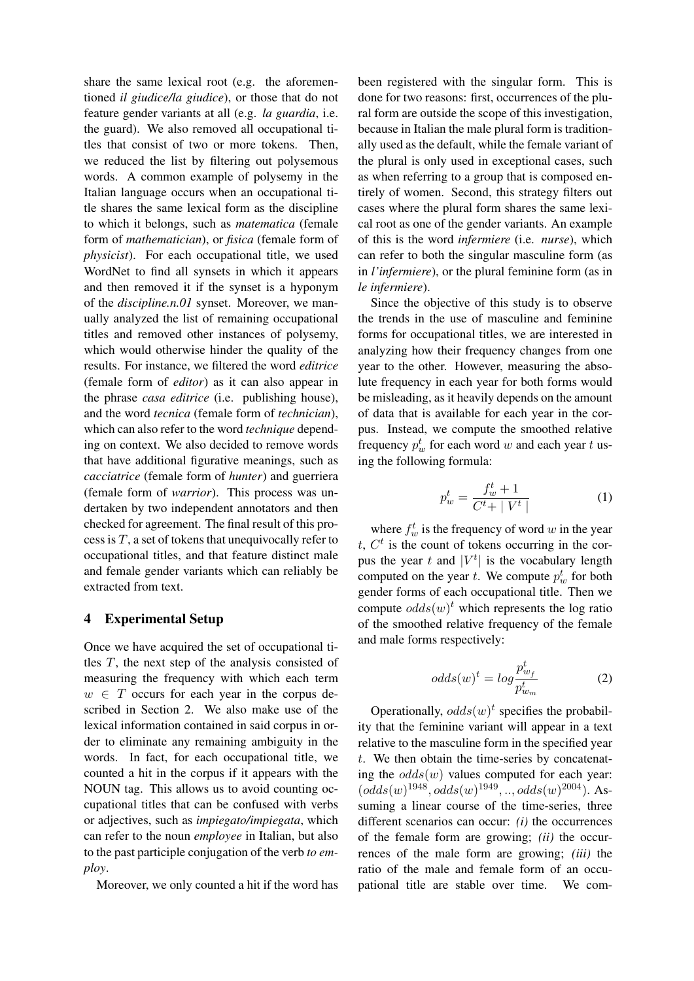share the same lexical root (e.g. the aforementioned *il giudice/la giudice*), or those that do not feature gender variants at all (e.g. *la guardia*, i.e. the guard). We also removed all occupational titles that consist of two or more tokens. Then, we reduced the list by filtering out polysemous words. A common example of polysemy in the Italian language occurs when an occupational title shares the same lexical form as the discipline to which it belongs, such as *matematica* (female form of *mathematician*), or *fisica* (female form of *physicist*). For each occupational title, we used WordNet to find all synsets in which it appears and then removed it if the synset is a hyponym of the *discipline.n.01* synset. Moreover, we manually analyzed the list of remaining occupational titles and removed other instances of polysemy, which would otherwise hinder the quality of the results. For instance, we filtered the word *editrice* (female form of *editor*) as it can also appear in the phrase *casa editrice* (i.e. publishing house), and the word *tecnica* (female form of *technician*), which can also refer to the word *technique* depending on context. We also decided to remove words that have additional figurative meanings, such as *cacciatrice* (female form of *hunter*) and guerriera (female form of *warrior*). This process was undertaken by two independent annotators and then checked for agreement. The final result of this process is  $T$ , a set of tokens that unequivocally refer to occupational titles, and that feature distinct male and female gender variants which can reliably be extracted from text.

## 4 Experimental Setup

Once we have acquired the set of occupational titles  $T$ , the next step of the analysis consisted of measuring the frequency with which each term  $w \in T$  occurs for each year in the corpus described in Section 2. We also make use of the lexical information contained in said corpus in order to eliminate any remaining ambiguity in the words. In fact, for each occupational title, we counted a hit in the corpus if it appears with the NOUN tag. This allows us to avoid counting occupational titles that can be confused with verbs or adjectives, such as *impiegato/impiegata*, which can refer to the noun *employee* in Italian, but also to the past participle conjugation of the verb *to employ*.

Moreover, we only counted a hit if the word has

been registered with the singular form. This is done for two reasons: first, occurrences of the plural form are outside the scope of this investigation, because in Italian the male plural form is traditionally used as the default, while the female variant of the plural is only used in exceptional cases, such as when referring to a group that is composed entirely of women. Second, this strategy filters out cases where the plural form shares the same lexical root as one of the gender variants. An example of this is the word *infermiere* (i.e. *nurse*), which can refer to both the singular masculine form (as in *l'infermiere*), or the plural feminine form (as in *le infermiere*).

Since the objective of this study is to observe the trends in the use of masculine and feminine forms for occupational titles, we are interested in analyzing how their frequency changes from one year to the other. However, measuring the absolute frequency in each year for both forms would be misleading, as it heavily depends on the amount of data that is available for each year in the corpus. Instead, we compute the smoothed relative frequency  $p_w^t$  for each word w and each year t using the following formula:

$$
p_w^t = \frac{f_w^t + 1}{C^t + |V^t|} \tag{1}
$$

where  $f_w^t$  is the frequency of word w in the year  $t, C<sup>t</sup>$  is the count of tokens occurring in the corpus the year t and  $|V^t|$  is the vocabulary length computed on the year t. We compute  $p_w^t$  for both gender forms of each occupational title. Then we compute  $odds(w)^t$  which represents the log ratio of the smoothed relative frequency of the female and male forms respectively:

$$
odds(w)^{t} = log \frac{p_{w_f}^t}{p_{w_m}^t}
$$
 (2)

Operationally,  $odds(w)^t$  specifies the probability that the feminine variant will appear in a text relative to the masculine form in the specified year t. We then obtain the time-series by concatenating the  $odds(w)$  values computed for each year:  $(odds(w)^{1948}, odds(w)^{1949},.., odds(w)^{2004}).$  Assuming a linear course of the time-series, three different scenarios can occur: *(i)* the occurrences of the female form are growing; *(ii)* the occurrences of the male form are growing; *(iii)* the ratio of the male and female form of an occupational title are stable over time. We com-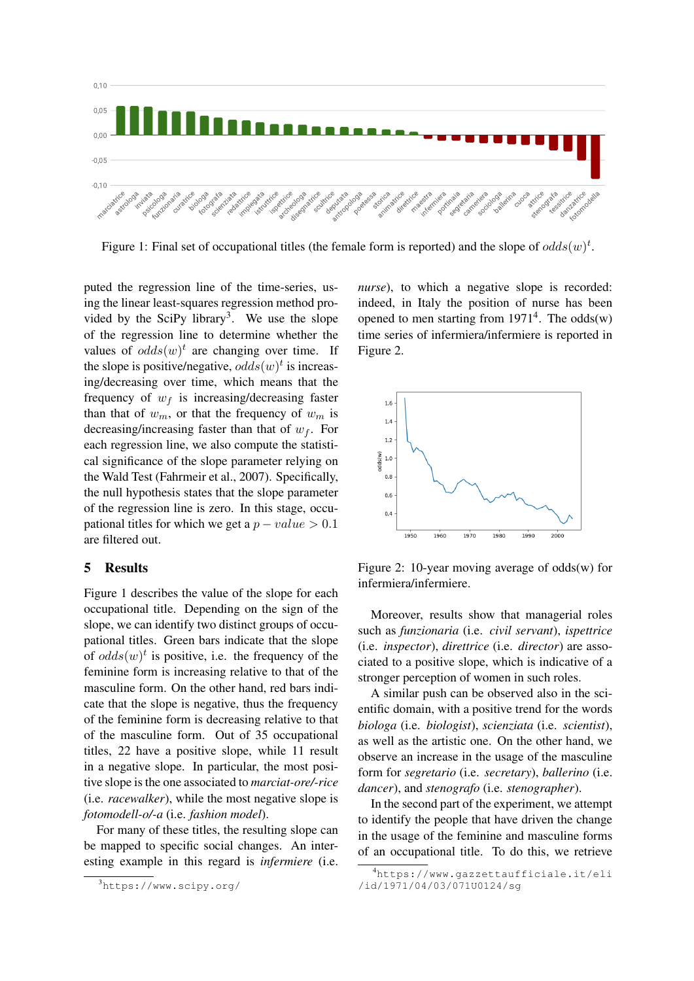

Figure 1: Final set of occupational titles (the female form is reported) and the slope of  $odds(w)^t$ .

puted the regression line of the time-series, using the linear least-squares regression method provided by the SciPy library<sup>3</sup>. We use the slope of the regression line to determine whether the values of  $odds(w)^t$  are changing over time. If the slope is positive/negative,  $odds(w)^t$  is increasing/decreasing over time, which means that the frequency of  $w_f$  is increasing/decreasing faster than that of  $w_m$ , or that the frequency of  $w_m$  is decreasing/increasing faster than that of  $w_f$ . For each regression line, we also compute the statistical significance of the slope parameter relying on the Wald Test (Fahrmeir et al., 2007). Specifically, the null hypothesis states that the slope parameter of the regression line is zero. In this stage, occupational titles for which we get a  $p - value > 0.1$ are filtered out.

### 5 Results

Figure 1 describes the value of the slope for each occupational title. Depending on the sign of the slope, we can identify two distinct groups of occupational titles. Green bars indicate that the slope of  $odds(w)^t$  is positive, i.e. the frequency of the feminine form is increasing relative to that of the masculine form. On the other hand, red bars indicate that the slope is negative, thus the frequency of the feminine form is decreasing relative to that of the masculine form. Out of 35 occupational titles, 22 have a positive slope, while 11 result in a negative slope. In particular, the most positive slope is the one associated to *marciat-ore/-rice* (i.e. *racewalker*), while the most negative slope is *fotomodell-o/-a* (i.e. *fashion model*).

For many of these titles, the resulting slope can be mapped to specific social changes. An interesting example in this regard is *infermiere* (i.e. *nurse*), to which a negative slope is recorded: indeed, in Italy the position of nurse has been opened to men starting from  $1971<sup>4</sup>$ . The odds(w) time series of infermiera/infermiere is reported in Figure 2.



Figure 2: 10-year moving average of odds(w) for infermiera/infermiere.

Moreover, results show that managerial roles such as *funzionaria* (i.e. *civil servant*), *ispettrice* (i.e. *inspector*), *direttrice* (i.e. *director*) are associated to a positive slope, which is indicative of a stronger perception of women in such roles.

A similar push can be observed also in the scientific domain, with a positive trend for the words *biologa* (i.e. *biologist*), *scienziata* (i.e. *scientist*), as well as the artistic one. On the other hand, we observe an increase in the usage of the masculine form for *segretario* (i.e. *secretary*), *ballerino* (i.e. *dancer*), and *stenografo* (i.e. *stenographer*).

In the second part of the experiment, we attempt to identify the people that have driven the change in the usage of the feminine and masculine forms of an occupational title. To do this, we retrieve

<sup>3</sup>https://www.scipy.org/

<sup>4</sup>https://www.gazzettaufficiale.it/eli /id/1971/04/03/071U0124/sg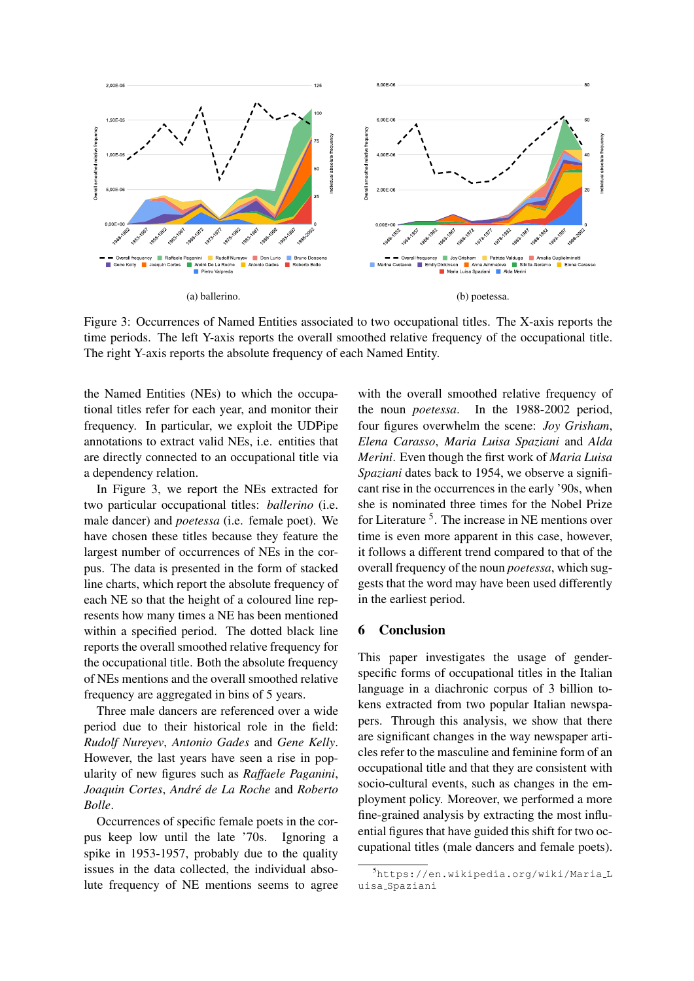

Figure 3: Occurrences of Named Entities associated to two occupational titles. The X-axis reports the time periods. The left Y-axis reports the overall smoothed relative frequency of the occupational title. The right Y-axis reports the absolute frequency of each Named Entity.

the Named Entities (NEs) to which the occupational titles refer for each year, and monitor their frequency. In particular, we exploit the UDPipe annotations to extract valid NEs, i.e. entities that are directly connected to an occupational title via a dependency relation.

In Figure 3, we report the NEs extracted for two particular occupational titles: *ballerino* (i.e. male dancer) and *poetessa* (i.e. female poet). We have chosen these titles because they feature the largest number of occurrences of NEs in the corpus. The data is presented in the form of stacked line charts, which report the absolute frequency of each NE so that the height of a coloured line represents how many times a NE has been mentioned within a specified period. The dotted black line reports the overall smoothed relative frequency for the occupational title. Both the absolute frequency of NEs mentions and the overall smoothed relative frequency are aggregated in bins of 5 years.

Three male dancers are referenced over a wide period due to their historical role in the field: *Rudolf Nureyev*, *Antonio Gades* and *Gene Kelly*. However, the last years have seen a rise in popularity of new figures such as *Raffaele Paganini*, *Joaquin Cortes*, *Andre de La Roche ´* and *Roberto Bolle*.

Occurrences of specific female poets in the corpus keep low until the late '70s. Ignoring a spike in 1953-1957, probably due to the quality issues in the data collected, the individual absolute frequency of NE mentions seems to agree

with the overall smoothed relative frequency of the noun *poetessa*. In the 1988-2002 period, four figures overwhelm the scene: *Joy Grisham*, *Elena Carasso*, *Maria Luisa Spaziani* and *Alda Merini*. Even though the first work of *Maria Luisa Spaziani* dates back to 1954, we observe a significant rise in the occurrences in the early '90s, when she is nominated three times for the Nobel Prize for Literature<sup>5</sup>. The increase in NE mentions over time is even more apparent in this case, however, it follows a different trend compared to that of the overall frequency of the noun *poetessa*, which suggests that the word may have been used differently in the earliest period.

#### 6 Conclusion

This paper investigates the usage of genderspecific forms of occupational titles in the Italian language in a diachronic corpus of 3 billion tokens extracted from two popular Italian newspapers. Through this analysis, we show that there are significant changes in the way newspaper articles refer to the masculine and feminine form of an occupational title and that they are consistent with socio-cultural events, such as changes in the employment policy. Moreover, we performed a more fine-grained analysis by extracting the most influential figures that have guided this shift for two occupational titles (male dancers and female poets).

<sup>5</sup>https://en.wikipedia.org/wiki/Maria L uisa Spaziani